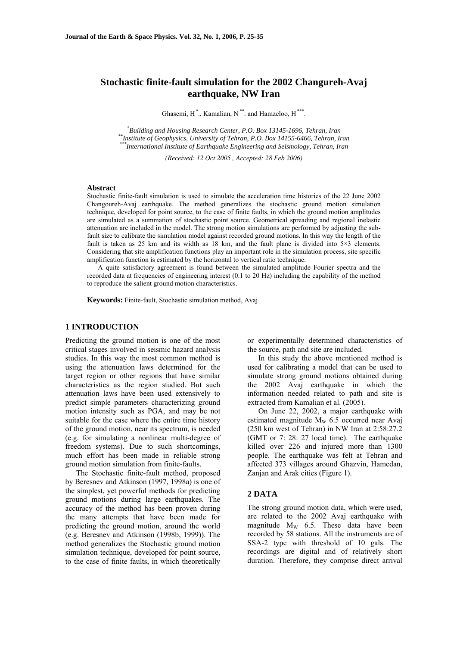# **Stochastic finite-fault simulation for the 2002 Changureh-Avaj earthquake, NW Iran**

Ghasemi,  $H^*$ ., Kamalian,  $N^{**}$ . and Hamzeloo,  $H^{***}$ .

<sup>\*</sup>Building and Housing Research Center, P.O. Box 13145-1696, Tehran, Iran \*\*Institute of Geophysics, University of Tehran, P.O. Box 14155-6466, Tehran, Iran<br>\*\*\*International Institute of Earthquake Engineering and Seismology, Tehran, Iran

*(Received: 12 Oct 2005 , Accepted: 28 Feb 2006)* 

### **Abstract**

Stochastic finite-fault simulation is used to simulate the acceleration time histories of the 22 June 2002 Changoureh-Avaj earthquake. The method generalizes the stochastic ground motion simulation technique, developed for point source, to the case of finite faults, in which the ground motion amplitudes are simulated as a summation of stochastic point source. Geometrical spreading and regional inelastic attenuation are included in the model. The strong motion simulations are performed by adjusting the subfault size to calibrate the simulation model against recorded ground motions. In this way the length of the fault is taken as 25 km and its width as 18 km, and the fault plane is divided into  $5\times3$  elements. Considering that site amplification functions play an important role in the simulation process, site specific amplification function is estimated by the horizontal to vertical ratio technique.

A quite satisfactory agreement is found between the simulated amplitude Fourier spectra and the recorded data at frequencies of engineering interest (0.1 to 20 Hz) including the capability of the method to reproduce the salient ground motion characteristics.

**Keywords:** Finite-fault, Stochastic simulation method, Avaj

### **1 INTRODUCTION**

Predicting the ground motion is one of the most critical stages involved in seismic hazard analysis studies. In this way the most common method is using the attenuation laws determined for the target region or other regions that have similar characteristics as the region studied. But such attenuation laws have been used extensively to predict simple parameters characterizing ground motion intensity such as PGA, and may be not suitable for the case where the entire time history of the ground motion, near its spectrum, is needed (e.g. for simulating a nonlinear multi-degree of freedom systems). Due to such shortcomings, much effort has been made in reliable strong ground motion simulation from finite-faults.

The Stochastic finite-fault method, proposed by Beresnev and Atkinson (1997, 1998a) is one of the simplest, yet powerful methods for predicting ground motions during large earthquakes. The accuracy of the method has been proven during the many attempts that have been made for predicting the ground motion, around the world (e.g. Beresnev and Atkinson (1998b, 1999)). The method generalizes the Stochastic ground motion simulation technique, developed for point source, to the case of finite faults, in which theoretically

or experimentally determined characteristics of the source, path and site are included.

In this study the above mentioned method is used for calibrating a model that can be used to simulate strong ground motions obtained during the 2002 Avaj earthquake in which the information needed related to path and site is extracted from Kamalian et al. (2005).

On June 22, 2002, a major earthquake with estimated magnitude  $M_W$  6.5 occurred near Avaj (250 km west of Tehran) in NW Iran at 2:58:27.2 (GMT or 7: 28: 27 local time). The earthquake killed over 226 and injured more than 1300 people. The earthquake was felt at Tehran and affected 373 villages around Ghazvin, Hamedan, Zanjan and Arak cities (Figure 1).

#### **2 DATA**

The strong ground motion data, which were used, are related to the 2002 Avaj earthquake with magnitude  $M_W$  6.5. These data have been recorded by 58 stations. All the instruments are of SSA-2 type with threshold of 10 gals. The recordings are digital and of relatively short duration. Therefore, they comprise direct arrival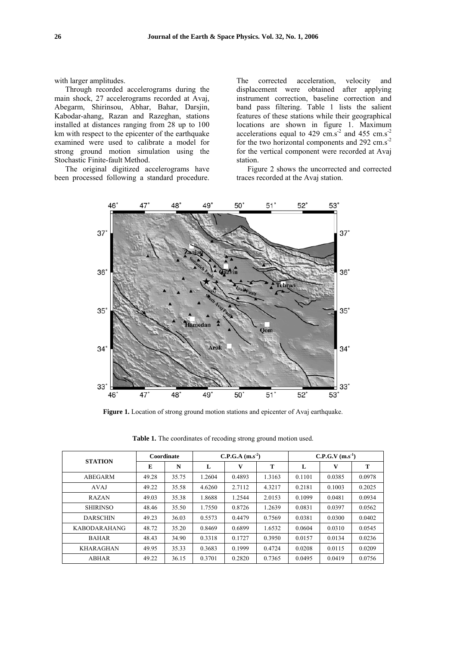with larger amplitudes.

Through recorded accelerograms during the main shock, 27 accelerograms recorded at Avaj, Abegarm, Shirinsou, Abhar, Bahar, Darsjin, Kabodar-ahang, Razan and Razeghan, stations installed at distances ranging from 28 up to 100 km with respect to the epicenter of the earthquake examined were used to calibrate a model for strong ground motion simulation using the Stochastic Finite-fault Method.

The original digitized accelerograms have been processed following a standard procedure.

The corrected acceleration, velocity and displacement were obtained after applying instrument correction, baseline correction and band pass filtering. Table 1 lists the salient features of these stations while their geographical locations are shown in figure 1. Maximum accelerations equal to 429  $\text{cm.s}^{-2}$  and 455  $\text{cm.s}^{-2}$ for the two horizontal components and 292 cm.s<sup>-2</sup> for the vertical component were recorded at Avaj station.

Figure 2 shows the uncorrected and corrected traces recorded at the Avaj station.



**Figure 1.** Location of strong ground motion stations and epicenter of Avaj earthquake.

| <b>STATION</b>      | Coordinate |       | $C.P.G.A (m.s-2)$ |        |        | $C.P.G.V (m.s-1)$ |        |        |
|---------------------|------------|-------|-------------------|--------|--------|-------------------|--------|--------|
|                     | E          | N     | L                 | v      | T      | L                 | V      | т      |
| ABEGARM             | 49.28      | 35.75 | 1.2604            | 0.4893 | 1.3163 | 0.1101            | 0.0385 | 0.0978 |
| <b>AVAJ</b>         | 49.22      | 35.58 | 4.6260            | 2.7112 | 4.3217 | 0.2181            | 0.1003 | 0.2025 |
| <b>RAZAN</b>        | 49.03      | 35.38 | 1.8688            | 1.2544 | 2.0153 | 0.1099            | 0.0481 | 0.0934 |
| <b>SHIRINSO</b>     | 48.46      | 35.50 | 1.7550            | 0.8726 | 1.2639 | 0.0831            | 0.0397 | 0.0562 |
| <b>DARSCHIN</b>     | 49.23      | 36.03 | 0.5573            | 0.4479 | 0.7569 | 0.0381            | 0.0300 | 0.0402 |
| <b>KABODARAHANG</b> | 48.72      | 35.20 | 0.8469            | 0.6899 | 1.6532 | 0.0604            | 0.0310 | 0.0545 |
| <b>BAHAR</b>        | 48.43      | 34.90 | 0.3318            | 0.1727 | 0.3950 | 0.0157            | 0.0134 | 0.0236 |
| <b>KHARAGHAN</b>    | 49.95      | 35.33 | 0.3683            | 0.1999 | 0.4724 | 0.0208            | 0.0115 | 0.0209 |
| <b>ABHAR</b>        | 49.22      | 36.15 | 0.3701            | 0.2820 | 0.7365 | 0.0495            | 0.0419 | 0.0756 |

**Table 1.** The coordinates of recoding strong ground motion used.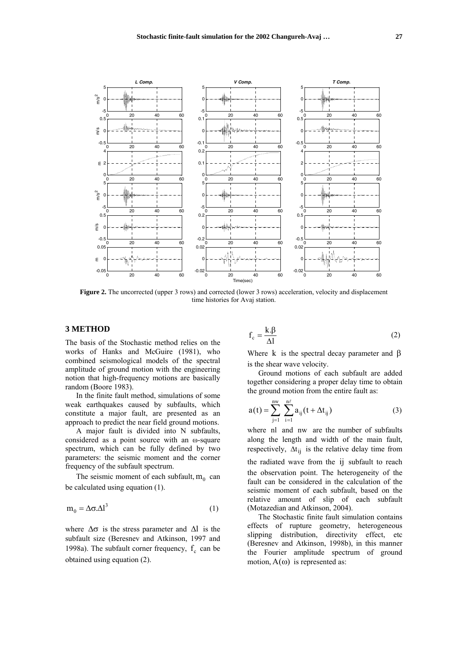

**Figure 2.** The uncorrected (upper 3 rows) and corrected (lower 3 rows) acceleration, velocity and displacement time histories for Avaj station.

### **3 METHOD**

The basis of the Stochastic method relies on the works of Hanks and McGuire (1981), who combined seismological models of the spectral amplitude of ground motion with the engineering notion that high-frequency motions are basically random (Boore 1983).

In the finite fault method, simulations of some weak earthquakes caused by subfaults, which constitute a major fault, are presented as an approach to predict the near field ground motions.

A major fault is divided into N subfaults, considered as a point source with an ω-square spectrum, which can be fully defined by two parameters: the seismic moment and the corner frequency of the subfault spectrum.

The seismic moment of each subfault,  $m_0$  can be calculated using equation (1).

$$
m_0 = \Delta \sigma \Delta l^3 \tag{1}
$$

where  $\Delta \sigma$  is the stress parameter and  $\Delta l$  is the subfault size (Beresnev and Atkinson, 1997 and 1998a). The subfault corner frequency,  $f_c$  can be obtained using equation (2).

$$
f_c = \frac{k \beta}{\Delta l} \tag{2}
$$

Where k is the spectral decay parameter and  $\beta$ is the shear wave velocity.

Ground motions of each subfault are added together considering a proper delay time to obtain the ground motion from the entire fault as:

$$
a(t) = \sum_{j=1}^{nw} \sum_{i=1}^{n\ell} a_{ij}(t + \Delta t_{ij})
$$
 (3)

where nl and nw are the number of subfaults along the length and width of the main fault, respectively,  $\Delta t_{ii}$  is the relative delay time from the radiated wave from the ij subfault to reach the observation point. The heterogeneity of the fault can be considered in the calculation of the seismic moment of each subfault, based on the relative amount of slip of each subfault (Motazedian and Atkinson, 2004).

The Stochastic finite fault simulation contains effects of rupture geometry, heterogeneous slipping distribution, directivity effect, etc (Beresnev and Atkinson, 1998b), in this manner the Fourier amplitude spectrum of ground motion,  $A(\omega)$  is represented as: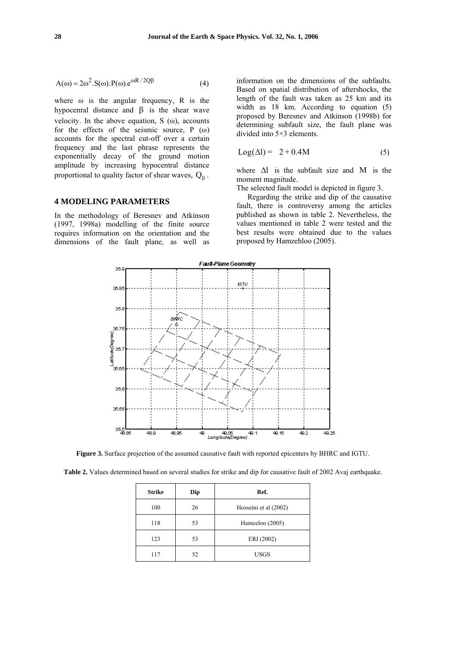$$
A(\omega) = 2\omega^2 \cdot S(\omega) \cdot P(\omega) \cdot e^{\omega R / 2Q\beta}
$$
 (4)

where  $\omega$  is the angular frequency, R is the hypocenral distance and  $β$  is the shear wave velocity. In the above equation, S  $(\omega)$ , accounts for the effects of the seismic source, P (ω) accounts for the spectral cut-off over a certain frequency and the last phrase represents the exponentially decay of the ground motion amplitude by increasing hypocentral distance proportional to quality factor of shear waves,  $Q_8$ .

# **4 MODELING PARAMETERS**

In the methodology of Beresnev and Atkinson (1997, 1998a) modelling of the finite source requires information on the orientation and the dimensions of the fault plane, as well as information on the dimensions of the subfaults. Based on spatial distribution of aftershocks, the length of the fault was taken as 25 km and its width as 18 km. According to equation (5) proposed by Beresnev and Atkinson (1998b) for determining subfault size, the fault plane was divided into 5×3 elements.

$$
Log(\Delta l) = 2 + 0.4M \tag{5}
$$

where  $\Delta l$  is the subfault size and M is the moment magnitude.

The selected fault model is depicted in figure 3.

Regarding the strike and dip of the causative fault, there is controversy among the articles published as shown in table 2. Nevertheless, the values mentioned in table 2 were tested and the best results were obtained due to the values proposed by Hamzehloo (2005).



**Figure 3.** Surface projection of the assumed causative fault with reported epicenters by BHRC and IGTU.

**Table 2.** Values determined based on several studies for strike and dip for causative fault of 2002 Avaj earthquake.

|           | <b>Strike</b> | Dip | Ref.                  |  |  |
|-----------|---------------|-----|-----------------------|--|--|
|           | 100           | 26  | Hosseini et al (2002) |  |  |
|           | 118<br>53     |     | Hamzeloo (2005)       |  |  |
|           | 123           | 53  | ERI (2002)            |  |  |
| 117<br>52 |               |     | <b>USGS</b>           |  |  |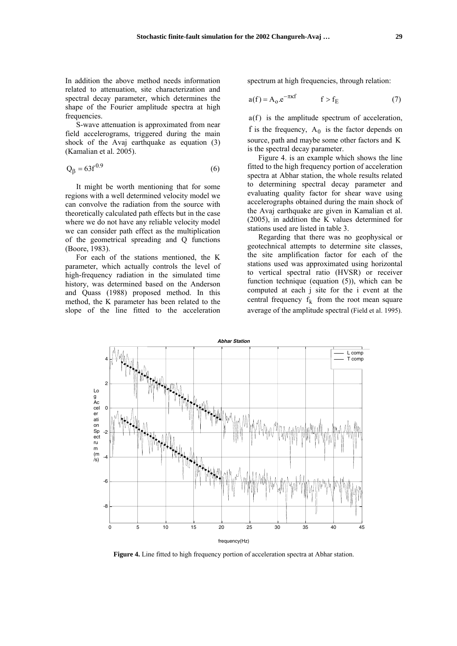In addition the above method needs information related to attenuation, site characterization and spectral decay parameter, which determines the shape of the Fourier amplitude spectra at high frequencies.

S-wave attenuation is approximated from near field accelerograms, triggered during the main shock of the Avaj earthquake as equation (3) (Kamalian et al. 2005).

$$
Q_{\beta} = 63f^{0.9}
$$
 (6)

It might be worth mentioning that for some regions with a well determined velocity model we can convolve the radiation from the source with theoretically calculated path effects but in the case where we do not have any reliable velocity model we can consider path effect as the multiplication of the geometrical spreading and Q functions (Boore, 1983).

For each of the stations mentioned, the K parameter, which actually controls the level of high-frequency radiation in the simulated time history, was determined based on the Anderson and Quass (1988) proposed method. In this method, the K parameter has been related to the slope of the line fitted to the acceleration spectrum at high frequencies, through relation:

$$
a(f) = A_0 e^{-\pi \kappa f} \qquad f > f_E \tag{7}
$$

a(f) is the amplitude spectrum of acceleration, f is the frequency,  $A_0$  is the factor depends on source, path and maybe some other factors and K is the spectral decay parameter.

Figure 4. is an example which shows the line fitted to the high frequency portion of acceleration spectra at Abhar station, the whole results related to determining spectral decay parameter and evaluating quality factor for shear wave using accelerographs obtained during the main shock of the Avaj earthquake are given in Kamalian et al. (2005), in addition the K values determined for stations used are listed in table 3.

Regarding that there was no geophysical or geotechnical attempts to determine site classes, the site amplification factor for each of the stations used was approximated using horizontal to vertical spectral ratio (HVSR) or receiver function technique (equation (5)), which can be computed at each j site for the i event at the central frequency  $f_k$  from the root mean square average of the amplitude spectral (Field et al. 1995).



**Figure 4.** Line fitted to high frequency portion of acceleration spectra at Abhar station.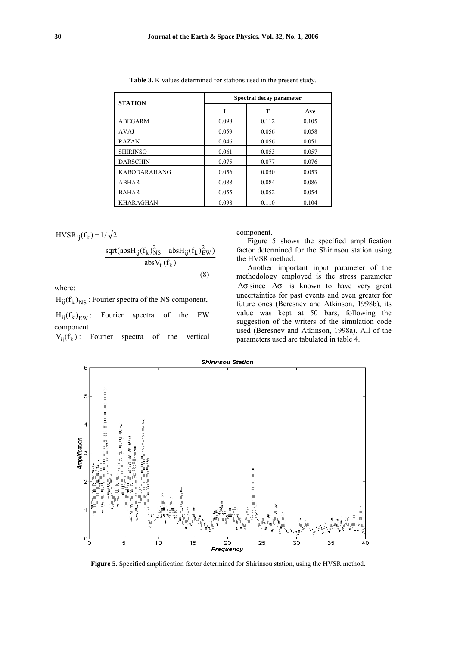| <b>STATION</b>      |       | Spectral decay parameter |       |  |  |  |
|---------------------|-------|--------------------------|-------|--|--|--|
|                     | L     | т                        |       |  |  |  |
| ABEGARM             | 0.098 | 0.112                    | 0.105 |  |  |  |
| AVAJ                | 0.059 | 0.056                    | 0.058 |  |  |  |
| <b>RAZAN</b>        | 0.046 | 0.056                    | 0.051 |  |  |  |
| <b>SHIRINSO</b>     | 0.061 | 0.053                    | 0.057 |  |  |  |
| <b>DARSCHIN</b>     | 0.075 | 0.077                    | 0.076 |  |  |  |
| <b>KABODARAHANG</b> | 0.056 | 0.050                    | 0.053 |  |  |  |
| <b>ABHAR</b>        | 0.088 | 0.084                    | 0.086 |  |  |  |
| <b>BAHAR</b>        | 0.055 | 0.052                    | 0.054 |  |  |  |
| KHARAGHAN           | 0.098 | 0.110                    | 0.104 |  |  |  |

**Table 3.** K values determined for stations used in the present study.

$$
HVSR_{ij}(f_k) = 1/\sqrt{2}
$$

$$
\frac{\text{sqrt}(absH_{ij}(f_k)_{NS}^2 + absH_{ij}(f_k)_{EW}^2)}{\text{absV}_{ij}(f_k)}
$$
(8)

where:

 $H_{ii}(f_k)_{NS}$ : Fourier spectra of the NS component,

 $H_{ii}(f_k)_{\text{EW}}$ : Fourier spectra of the EW component

 $V_{ii}(f_k)$ : Fourier spectra of the vertical

component.

Figure 5 shows the specified amplification factor determined for the Shirinsou station using the HVSR method.

Another important input parameter of the methodology employed is the stress parameter  $\Delta \sigma$  since  $\Delta \sigma$  is known to have very great uncertainties for past events and even greater for future ones (Beresnev and Atkinson, 1998b), its value was kept at 50 bars, following the suggestion of the writers of the simulation code used (Beresnev and Atkinson, 1998a). All of the parameters used are tabulated in table 4.



 **Figure 5.** Specified amplification factor determined for Shirinsou station, using the HVSR method.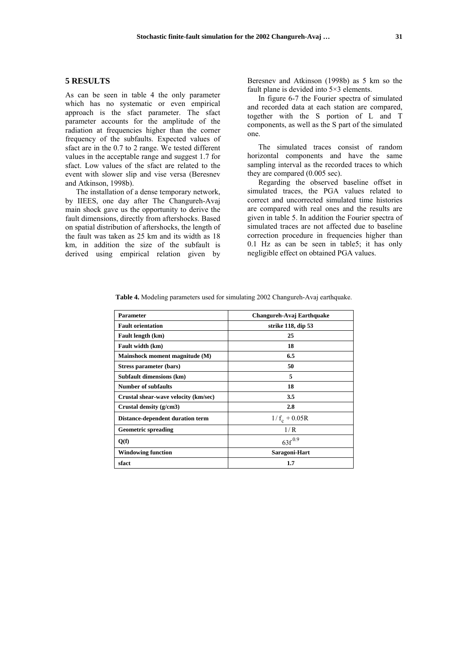## **5 RESULTS**

As can be seen in table 4 the only parameter which has no systematic or even empirical approach is the sfact parameter. The sfact parameter accounts for the amplitude of the radiation at frequencies higher than the corner frequency of the subfaults. Expected values of sfact are in the 0.7 to 2 range. We tested different values in the acceptable range and suggest 1.7 for sfact. Low values of the sfact are related to the event with slower slip and vise versa (Beresnev and Atkinson, 1998b).

The installation of a dense temporary network, by IIEES, one day after The Changureh-Avaj main shock gave us the opportunity to derive the fault dimensions, directly from aftershocks. Based on spatial distribution of aftershocks, the length of the fault was taken as 25 km and its width as 18 km, in addition the size of the subfault is derived using empirical relation given by Beresnev and Atkinson (1998b) as 5 km so the fault plane is devided into 5×3 elements.

In figure 6-7 the Fourier spectra of simulated and recorded data at each station are compared, together with the S portion of L and T components, as well as the S part of the simulated one.

The simulated traces consist of random horizontal components and have the same sampling interval as the recorded traces to which they are compared (0.005 sec).

Regarding the observed baseline offset in simulated traces, the PGA values related to correct and uncorrected simulated time histories are compared with real ones and the results are given in table 5. In addition the Fourier spectra of simulated traces are not affected due to baseline correction procedure in frequencies higher than 0.1 Hz as can be seen in table5; it has only negligible effect on obtained PGA values.

| <b>Parameter</b>                     | Changureh-Avaj Earthquake |
|--------------------------------------|---------------------------|
| <b>Fault orientation</b>             | strike 118, dip 53        |
| Fault length (km)                    | 25                        |
| Fault width (km)                     | 18                        |
| Mainshock moment magnitude (M)       | 6.5                       |
| Stress parameter (bars)              | 50                        |
| Subfault dimensions (km)             | 5                         |
| <b>Number of subfaults</b>           | 18                        |
| Crustal shear-wave velocity (km/sec) | 3.5                       |
| Crustal density (g/cm3)              | 2.8                       |
| Distance-dependent duration term     | $1/f_c + 0.05R$           |
| <b>Geometric spreading</b>           | 1/R                       |
| Q(f)                                 | $63f^{0.9}$               |
| <b>Windowing function</b>            | Saragoni-Hart             |
| sfact                                | 1.7                       |

**Table 4.** Modeling parameters used for simulating 2002 Changureh-Avaj earthquake.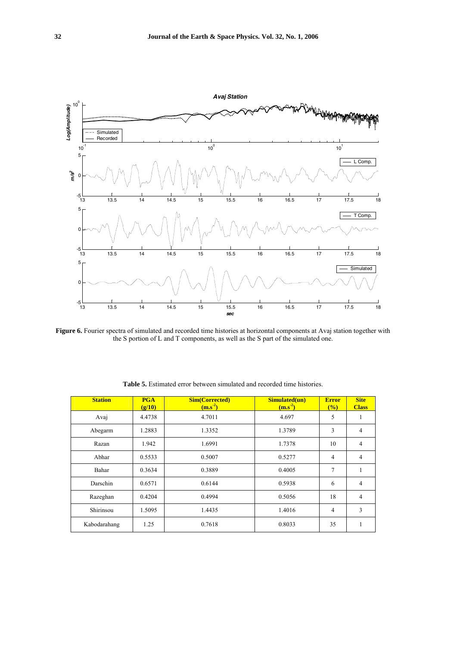

**Figure 6.** Fourier spectra of simulated and recorded time histories at horizontal components at Avaj station together with the S portion of L and T components, as well as the S part of the simulated one.

| <b>Station</b> | <b>PGA</b><br>(g/10) | <b>Sim(Corrected)</b><br>$(m.s-2)$ | Simulated(un)<br>$(m.s-2)$ | <b>Error</b><br>(%) | <b>Site</b><br><b>Class</b> |
|----------------|----------------------|------------------------------------|----------------------------|---------------------|-----------------------------|
| Avaj           | 4.4738               | 4.7011                             | 4.697                      | 5                   |                             |
| Abegarm        | 1.2883               | 1.3352                             | 1.3789                     | 3                   | $\overline{4}$              |
| Razan          | 1.942                | 1.6991                             | 1.7378                     | 10                  | 4                           |
| Abhar          | 0.5533               | 0.5007                             | 0.5277                     | 4                   | 4                           |
| Bahar          | 0.3634               | 0.3889                             | 0.4005                     | 7                   |                             |
| Darschin       | 0.6571               | 0.6144                             | 0.5938                     | 6                   | $\overline{4}$              |
| Razeghan       | 0.4204               | 0.4994                             | 0.5056                     | 18                  | 4                           |
| Shirinsou      | 1.5095               | 1.4435                             | 1.4016                     | 4                   | 3                           |
| Kabodarahang   | 1.25                 | 0.7618                             | 0.8033                     | 35                  |                             |

**Table 5.** Estimated error between simulated and recorded time histories.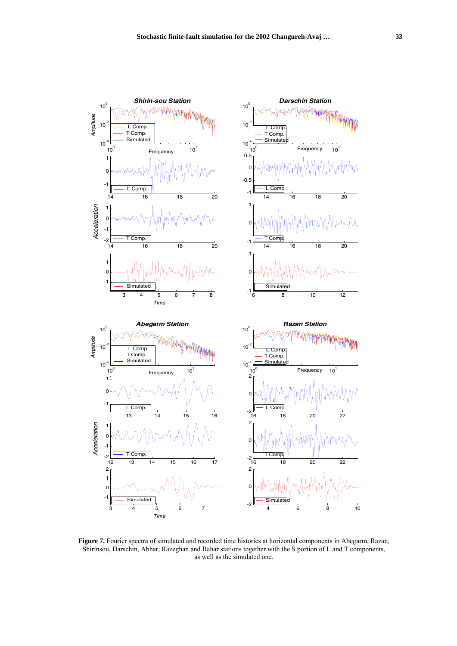

Figure 7. Fourier spectra of simulated and recorded time histories at horizontal components in Abegarm, Razan, Shirinsou, Darschin, Abhar, Razeghan and Bahar stations together with the S portion of L and T components, as well as the simulated one.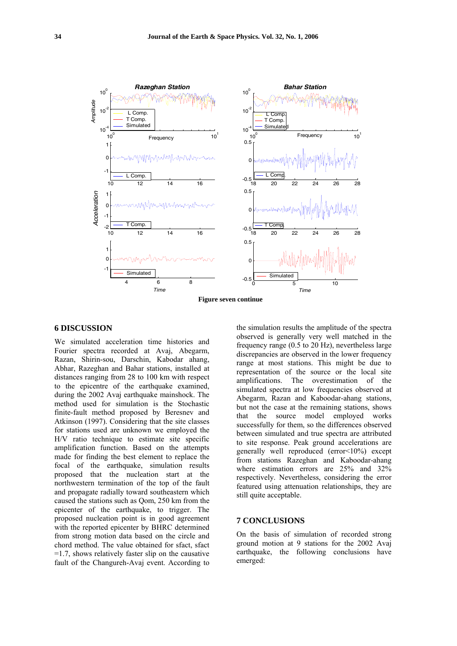

### **6 DISCUSSION**

We simulated acceleration time histories and Fourier spectra recorded at Avaj, Abegarm, Razan, Shirin-sou, Darschin, Kabodar ahang, Abhar, Razeghan and Bahar stations, installed at distances ranging from 28 to 100 km with respect to the epicentre of the earthquake examined, during the 2002 Avaj earthquake mainshock. The method used for simulation is the Stochastic finite-fault method proposed by Beresnev and Atkinson (1997). Considering that the site classes for stations used are unknown we employed the H/V ratio technique to estimate site specific amplification function. Based on the attempts made for finding the best element to replace the focal of the earthquake, simulation results proposed that the nucleation start at the northwestern termination of the top of the fault and propagate radially toward southeastern which caused the stations such as Qom, 250 km from the epicenter of the earthquake, to trigger. The proposed nucleation point is in good agreement with the reported epicenter by BHRC determined from strong motion data based on the circle and chord method. The value obtained for sfact, sfact  $=1.7$ , shows relatively faster slip on the causative fault of the Changureh-Avaj event. According to

the simulation results the amplitude of the spectra observed is generally very well matched in the frequency range (0.5 to 20 Hz), nevertheless large discrepancies are observed in the lower frequency range at most stations. This might be due to representation of the source or the local site amplifications. The overestimation of the simulated spectra at low frequencies observed at Abegarm, Razan and Kaboodar-ahang stations, but not the case at the remaining stations, shows that the source model employed works successfully for them, so the differences observed between simulated and true spectra are attributed to site response. Peak ground accelerations are generally well reproduced (error<10%) except from stations Razeghan and Kaboodar-ahang where estimation errors are 25% and 32% respectively. Nevertheless, considering the error featured using attenuation relationships, they are still quite acceptable.

#### **7 CONCLUSIONS**

On the basis of simulation of recorded strong ground motion at 9 stations for the 2002 Avaj earthquake, the following conclusions have emerged: